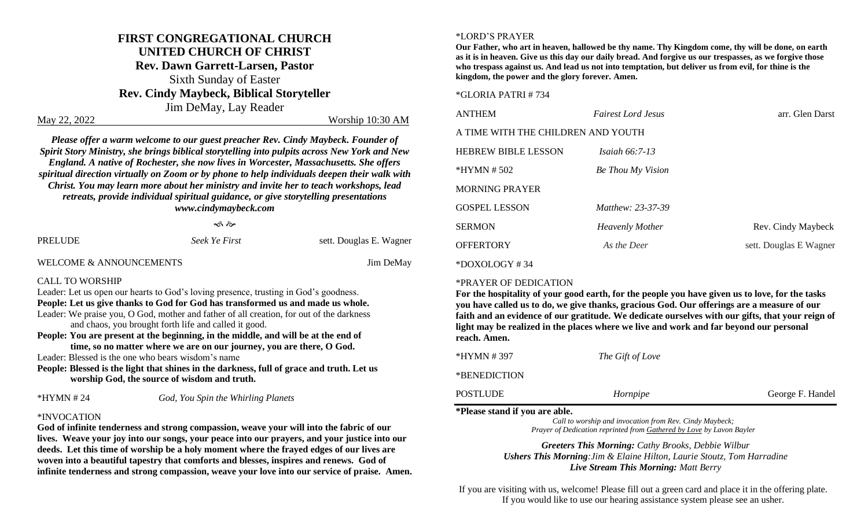## **FIRST CONGREGATIONAL CHURCH UNITED CHURCH OF CHRIST**

**Rev. Dawn Garrett-Larsen, Pastor** Sixth Sunday of Easter **Rev. Cindy Maybeck, Biblical Storyteller** Jim DeMay, Lay Reader

May 22, 2022 Worship 10:30 AM

*Please offer a warm welcome to our guest preacher Rev. Cindy Maybeck. Founder of Spirit Story Ministry, she brings biblical storytelling into pulpits across New York and New England. A native of Rochester, she now lives in Worcester, Massachusetts. She offers spiritual direction virtually on Zoom or by phone to help individuals deepen their walk with Christ. You may learn more about her ministry and invite her to teach workshops, lead retreats, provide individual spiritual guidance, or give storytelling presentations www.cindymaybeck.com*

ৰ্ক ক

| PRELUDE | Seek Ye First | sett. Douglas E. Wagner |
|---------|---------------|-------------------------|
|         |               |                         |

WELCOME & ANNOUNCEMENTS **SECURE 3** Jim DeMay

#### CALL TO WORSHIP

Leader: Let us open our hearts to God's loving presence, trusting in God's goodness. **People: Let us give thanks to God for God has transformed us and made us whole.** Leader: We praise you, O God, mother and father of all creation, for out of the darkness and chaos, you brought forth life and called it good.

**People: You are present at the beginning, in the middle, and will be at the end of time, so no matter where we are on our journey, you are there, O God.**

Leader: Blessed is the one who bears wisdom's name

**People: Blessed is the light that shines in the darkness, full of grace and truth. Let us worship God, the source of wisdom and truth.**

\*HYMN # 24 *God, You Spin the Whirling Planets*

#### \*INVOCATION

**God of infinite tenderness and strong compassion, weave your will into the fabric of our lives. Weave your joy into our songs, your peace into our prayers, and your justice into our deeds. Let this time of worship be a holy moment where the frayed edges of our lives are woven into a beautiful tapestry that comforts and blesses, inspires and renews. God of infinite tenderness and strong compassion, weave your love into our service of praise. Amen.**

#### \*LORD'S PRAYER

**Our Father, who art in heaven, hallowed be thy name. Thy Kingdom come, thy will be done, on earth as it is in heaven. Give us this day our daily bread. And forgive us our trespasses, as we forgive those who trespass against us. And lead us not into temptation, but deliver us from evil, for thine is the kingdom, the power and the glory forever. Amen.**

#### \*GLORIA PATRI # 734

| <b>ANTHEM</b>                      | <b>Fairest Lord Jesus</b> | arr. Glen Darst        |  |
|------------------------------------|---------------------------|------------------------|--|
| A TIME WITH THE CHILDREN AND YOUTH |                           |                        |  |
| <b>HEBREW BIBLE LESSON</b>         | <i>Isaiah</i> $66:7-13$   |                        |  |
| $*HYMN \# 502$                     | Be Thou My Vision         |                        |  |
| <b>MORNING PRAYER</b>              |                           |                        |  |
| <b>GOSPEL LESSON</b>               | <i>Matthew: 23-37-39</i>  |                        |  |
| <b>SERMON</b>                      | <b>Heavenly Mother</b>    | Rev. Cindy Maybeck     |  |
| <b>OFFERTORY</b>                   | As the Deer               | sett. Douglas E Wagner |  |
| $*$ DOXOLOGY #34                   |                           |                        |  |

#### \*PRAYER OF DEDICATION

**For the hospitality of your good earth, for the people you have given us to love, for the tasks you have called us to do, we give thanks, gracious God. Our offerings are a measure of our faith and an evidence of our gratitude. We dedicate ourselves with our gifts, that your reign of light may be realized in the places where we live and work and far beyond our personal reach. Amen.**

| *HYMN # 397  | The Gift of Love |                  |
|--------------|------------------|------------------|
| *BENEDICTION |                  |                  |
| POSTLUDE     | Hornpipe         | George F. Handel |

#### **\*Please stand if you are able.**

*Call to worship and invocation from Rev. Cindy Maybeck; Prayer of Dedication reprinted from Gathered by Love by Lavon Bayler*

*Greeters This Morning: Cathy Brooks, Debbie Wilbur Ushers This Morning:Jim & Elaine Hilton, Laurie Stoutz, Tom Harradine Live Stream This Morning: Matt Berry*

If you are visiting with us, welcome! Please fill out a green card and place it in the offering plate. If you would like to use our hearing assistance system please see an usher.